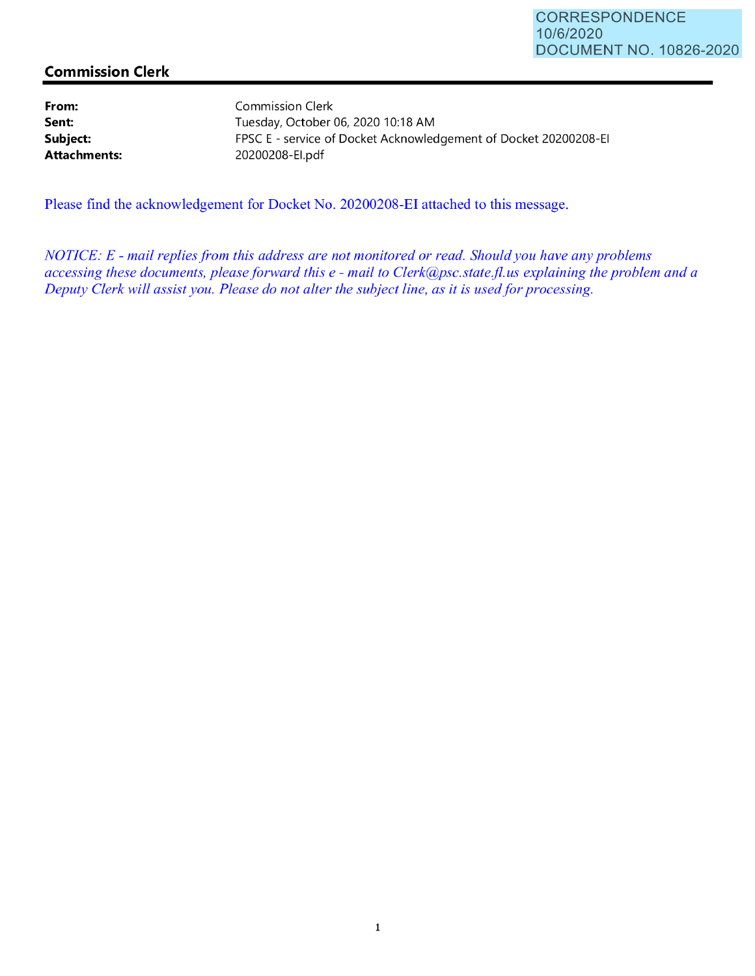## **Commission Clerk**

**From: Sent: Subject: Attachments:**  Commission Clerk Tuesday, October 06, 2020 10:18 AM FPSC E - service of Docket Acknowledgement of Docket 20200208-EI 20200208-El.pdf

Please find the acknowledgement for Docket No. 20200208-EI attached to this message.

*NOTICE: E* - *mail replies from this address are not monitored or read. Should you have any problems accessing these documents, please forward this e* - *mail to Clerk@psc.state.jl.us explaining the problem and a Deputy Clerk will assist you. Please do not alter the subject line, as it is used for processing.*